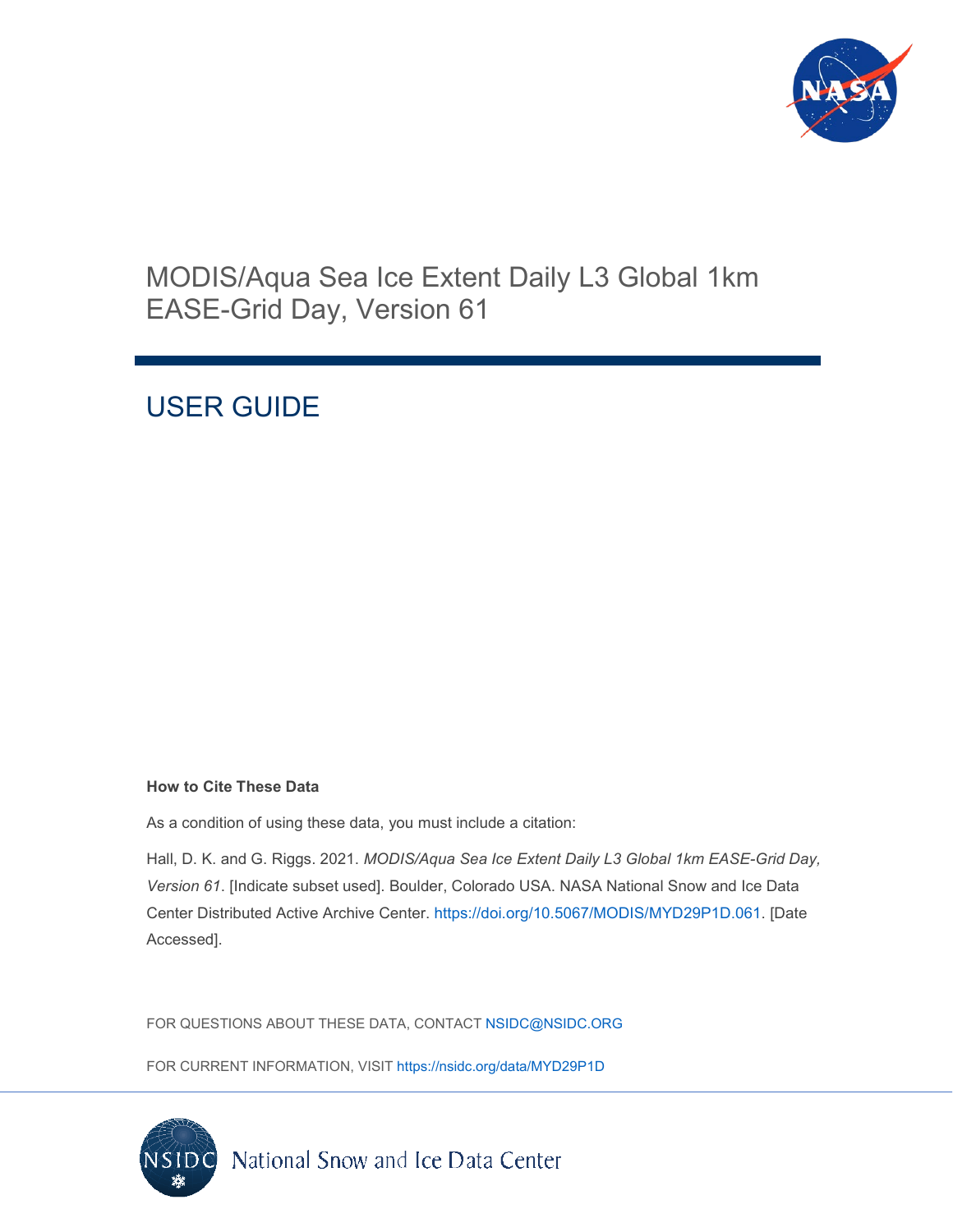

# MODIS/Aqua Sea Ice Extent Daily L3 Global 1km EASE-Grid Day, Version 61

# USER GUIDE

#### **How to Cite These Data**

As a condition of using these data, you must include a citation:

Hall, D. K. and G. Riggs. 2021. *MODIS/Aqua Sea Ice Extent Daily L3 Global 1km EASE-Grid Day, Version 61*. [Indicate subset used]. Boulder, Colorado USA. NASA National Snow and Ice Data Center Distributed Active Archive Center. [https://doi.org/10.5067/MODIS/MYD29P1D.061.](https://doi.org/10.5067/MODIS/MYD29P1D.061) [Date Accessed].

FOR QUESTIONS ABOUT THESE DATA, CONTACT [NSIDC@NSIDC.ORG](mailto:nsidc@nsidc.org)

FOR CURRENT INFORMATION, VISIT<https://nsidc.org/data/MYD29P1D>

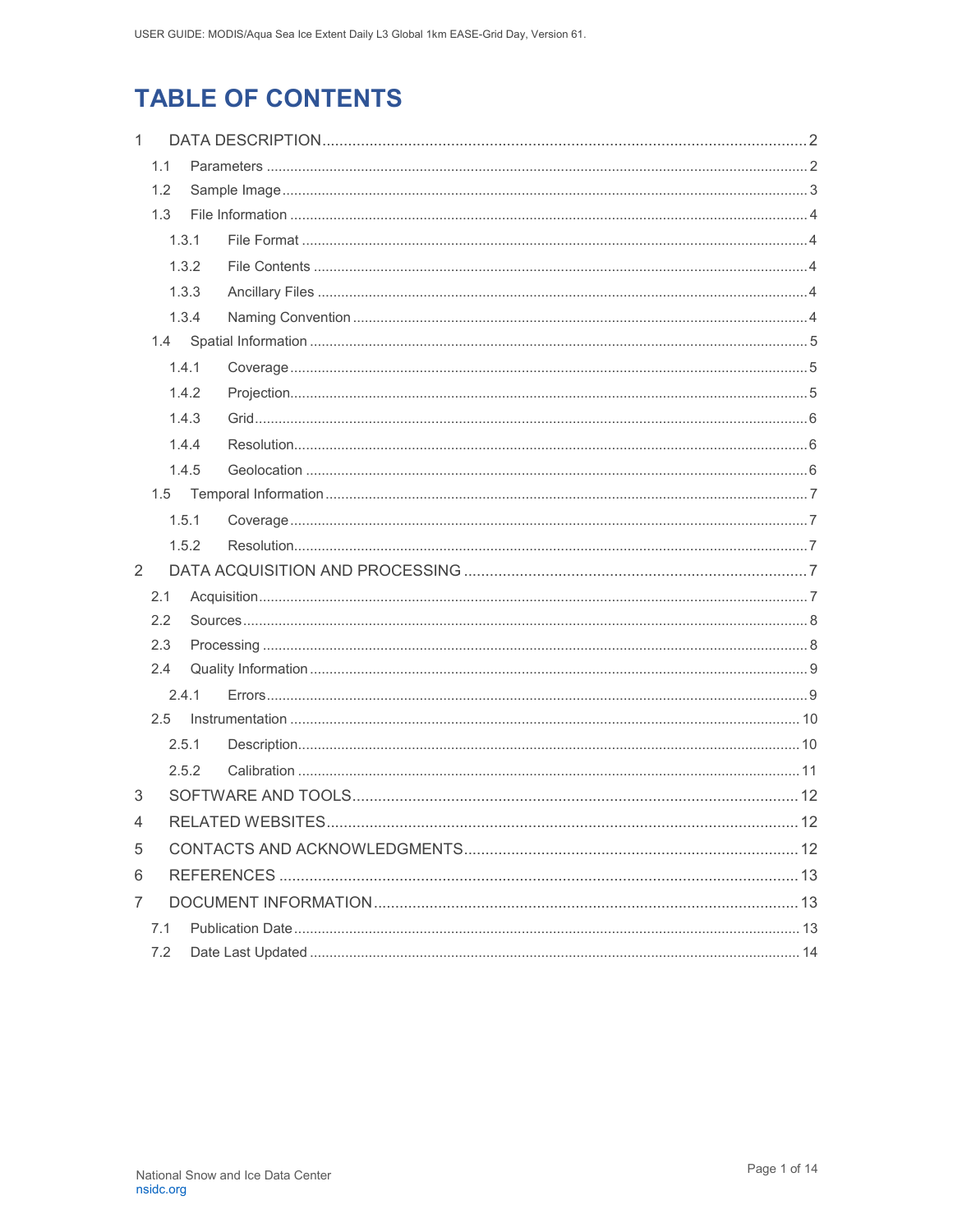# **TABLE OF CONTENTS**

| $\mathbf{1}$ |     |       |      |
|--------------|-----|-------|------|
|              | 1.1 |       |      |
|              | 1.2 |       |      |
|              | 1.3 |       |      |
|              |     | 1.3.1 |      |
|              |     | 1.3.2 |      |
|              |     | 1.3.3 |      |
|              |     | 1.3.4 |      |
|              |     |       |      |
|              |     | 1.4.1 |      |
|              |     | 1.4.2 |      |
|              |     | 1.4.3 |      |
|              |     | 1.4.4 |      |
|              |     | 1.4.5 |      |
|              | 1.5 |       |      |
|              |     | 1.5.1 |      |
|              |     | 1.5.2 |      |
| 2            |     |       |      |
|              | 2.1 |       |      |
|              | 2.2 |       |      |
|              | 2.3 |       |      |
|              | 2.4 |       |      |
|              |     | 2.4.1 |      |
|              | 2.5 |       |      |
|              |     | 2.5.1 |      |
|              |     | 2.5.2 |      |
| 3            |     |       |      |
| 4            |     |       | . 12 |
| 5            |     |       |      |
| 6            |     |       |      |
| 7            |     |       |      |
|              | 7.1 |       |      |
|              | 7.2 |       |      |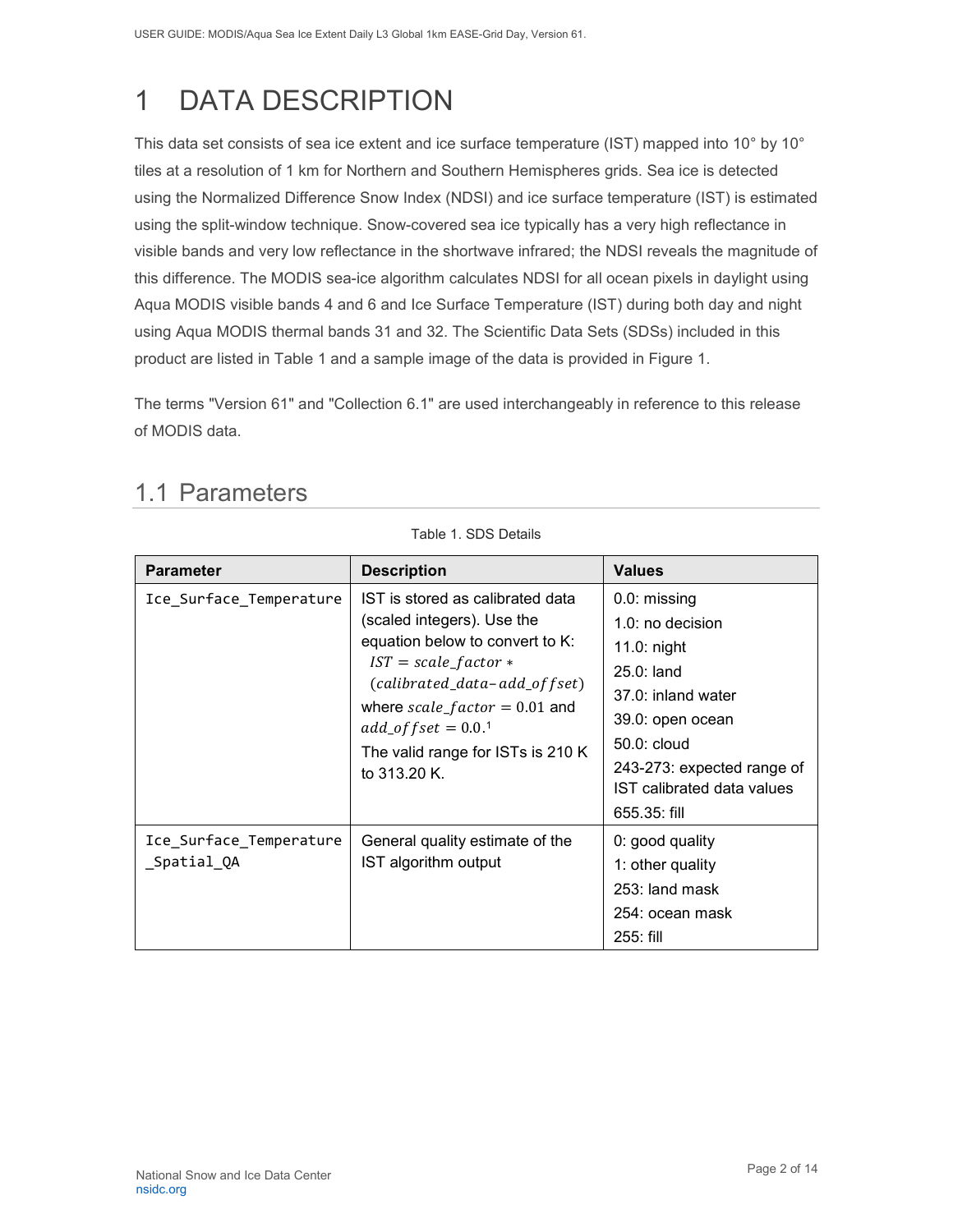# <span id="page-2-0"></span>1 DATA DESCRIPTION

This data set consists of sea ice extent and ice surface temperature (IST) mapped into 10° by 10° tiles at a resolution of 1 km for Northern and Southern Hemispheres grids. Sea ice is detected using the Normalized Difference Snow Index (NDSI) and ice surface temperature (IST) is estimated using the split-window technique. Snow-covered sea ice typically has a very high reflectance in visible bands and very low reflectance in the shortwave infrared; the NDSI reveals the magnitude of this difference. The MODIS sea-ice algorithm calculates NDSI for all ocean pixels in daylight using Aqua MODIS visible bands 4 and 6 and Ice Surface Temperature (IST) during both day and night using Aqua MODIS thermal bands 31 and 32. The Scientific Data Sets (SDSs) included in this product are listed in Table 1 and a sample image of the data is provided in Figure 1.

The terms "Version 61" and "Collection 6.1" are used interchangeably in reference to this release of MODIS data.

Table 1. SDS Details

| <b>Parameter</b>                       | <b>Description</b>                                                                                                                                                                                                                                                                 | <b>Values</b>                                                                                                                                                                                               |
|----------------------------------------|------------------------------------------------------------------------------------------------------------------------------------------------------------------------------------------------------------------------------------------------------------------------------------|-------------------------------------------------------------------------------------------------------------------------------------------------------------------------------------------------------------|
| Ice_Surface_Temperature                | IST is stored as calibrated data<br>(scaled integers). Use the<br>equation below to convert to K:<br>$IST = scale_factor *$<br>$(calibrated_data - add_of fset)$<br>where $scale_factor = 0.01$ and<br>$add\_offset = 0.0.^1$<br>The valid range for ISTs is 210 K<br>to 313.20 K. | 0.0: missing<br>1.0: no decision<br>$11.0:$ night<br>$25.0:$ land<br>37.0: inland water<br>39.0: open ocean<br>$50.0:$ cloud<br>243-273: expected range of<br>IST calibrated data values<br>$655.35$ : fill |
| Ice_Surface_Temperature<br>_Spatial_QA | General quality estimate of the<br>IST algorithm output                                                                                                                                                                                                                            | 0: good quality<br>1: other quality<br>253: land mask<br>254: ocean mask<br>$255:$ fill                                                                                                                     |

# <span id="page-2-1"></span>1.1 Parameters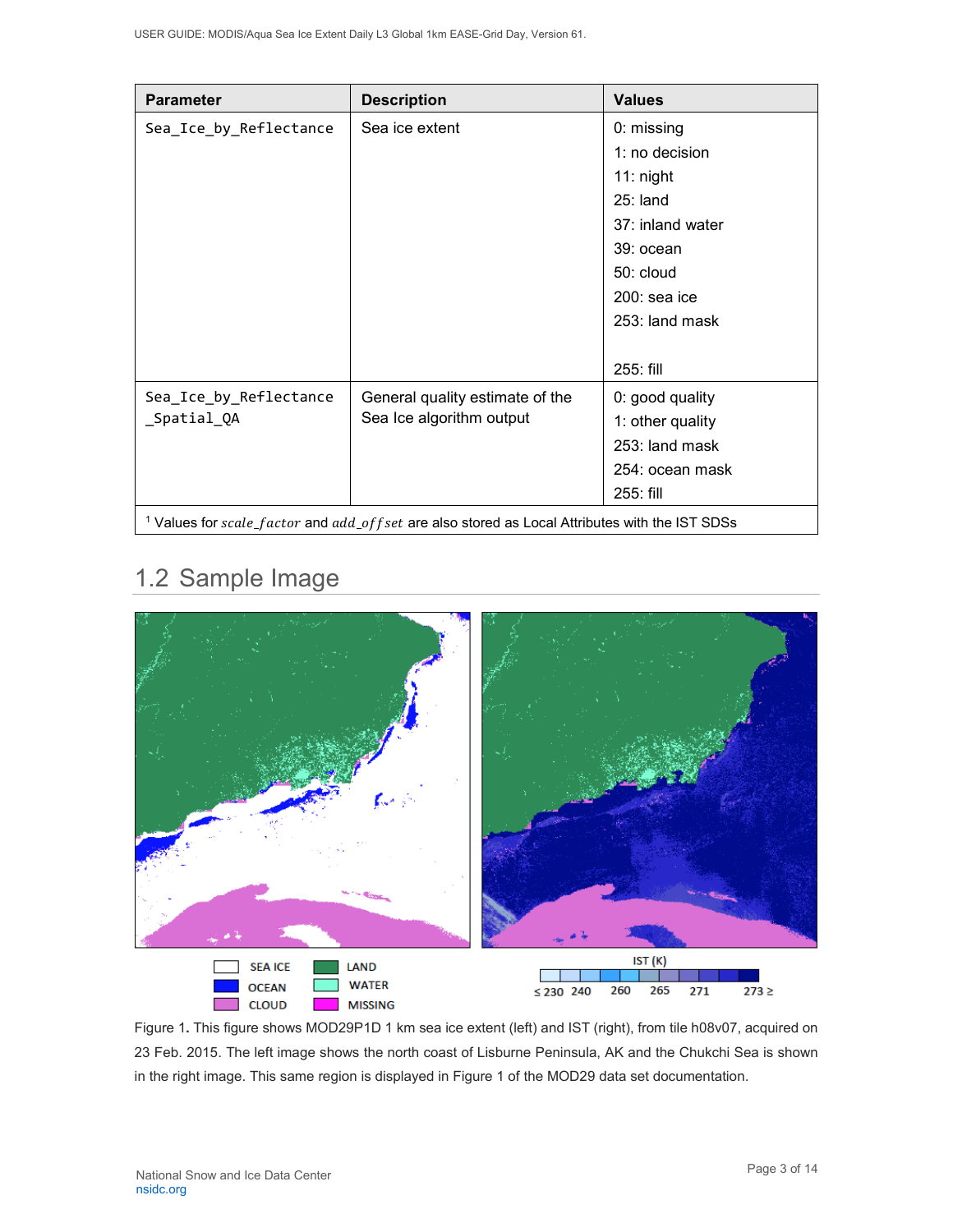| <b>Parameter</b>       | <b>Description</b>                                                                                             | <b>Values</b>    |
|------------------------|----------------------------------------------------------------------------------------------------------------|------------------|
| Sea_Ice_by_Reflectance | Sea ice extent                                                                                                 | 0: missing       |
|                        |                                                                                                                | 1: no decision   |
|                        |                                                                                                                | $11:$ night      |
|                        |                                                                                                                | $25:$ land       |
|                        |                                                                                                                | 37: inland water |
|                        |                                                                                                                | 39: ocean        |
|                        |                                                                                                                | 50: cloud        |
|                        |                                                                                                                | $200:$ sea ice   |
|                        |                                                                                                                | 253: land mask   |
|                        |                                                                                                                |                  |
|                        |                                                                                                                | 255: fill        |
| Sea_Ice_by_Reflectance | General quality estimate of the                                                                                | 0: good quality  |
| _Spatial_QA            | Sea Ice algorithm output                                                                                       | 1: other quality |
|                        |                                                                                                                | 253: land mask   |
|                        |                                                                                                                | 254: ocean mask  |
|                        |                                                                                                                | 255: fill        |
|                        | <sup>1</sup> Values for $scale_factor$ and $add_ooffset$ are also stored as Local Attributes with the IST SDSs |                  |

# <span id="page-3-0"></span>1.2 Sample Image



Figure 1**.** This figure shows MOD29P1D 1 km sea ice extent (left) and IST (right), from tile h08v07, acquired on 23 Feb. 2015. The left image shows the north coast of Lisburne Peninsula, AK and the Chukchi Sea is shown in the right image. This same region is displayed in Figure 1 of the MOD29 data set documentation.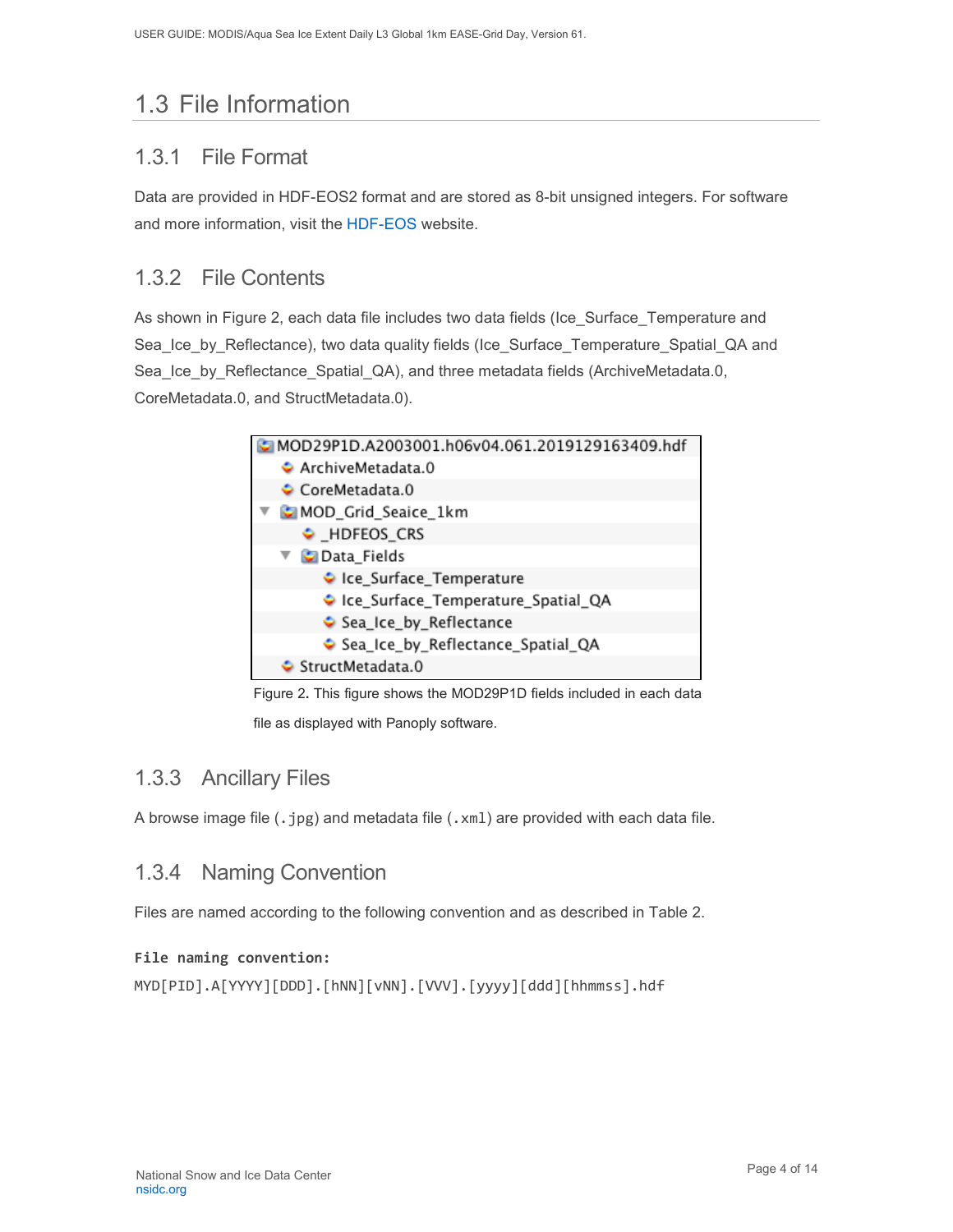# <span id="page-4-0"></span>1.3 File Information

### <span id="page-4-1"></span>1.3.1 File Format

Data are provided in HDF-EOS2 format and are stored as 8-bit unsigned integers. For software and more information, visit the [HDF-EOS](https://portal.hdfgroup.org/display/support) website.

### <span id="page-4-2"></span>1.3.2 File Contents

As shown in Figure 2, each data file includes two data fields (Ice\_Surface\_Temperature and Sea\_Ice\_by\_Reflectance), two data quality fields (Ice\_Surface\_Temperature\_Spatial\_QA and Sea Ice by Reflectance Spatial QA), and three metadata fields (ArchiveMetadata.0, CoreMetadata.0, and StructMetadata.0).



Figure 2**.** This figure shows the MOD29P1D fields included in each data

file as displayed with Panoply software.

### <span id="page-4-3"></span>1.3.3 Ancillary Files

A browse image file (.jpg) and metadata file (.xml) are provided with each data file.

### <span id="page-4-4"></span>1.3.4 Naming Convention

Files are named according to the following convention and as described in Table 2.

#### **File naming convention:**

MYD[PID].A[YYYY][DDD].[hNN][vNN].[VVV].[yyyy][ddd][hhmmss].hdf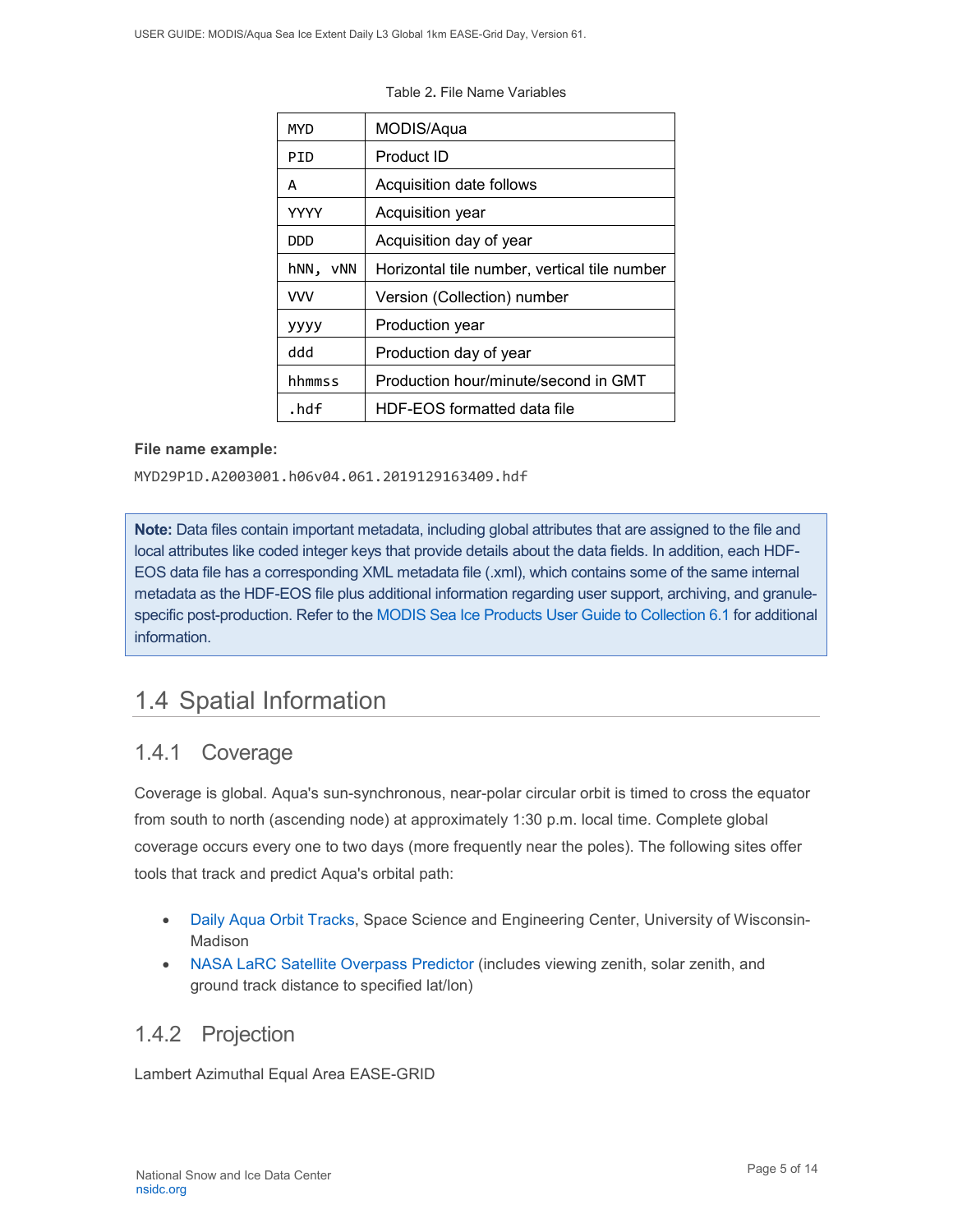| MYD         | MODIS/Aqua                                   |
|-------------|----------------------------------------------|
| PID         | Product ID                                   |
| A           | Acquisition date follows                     |
| <b>YYYY</b> | Acquisition year                             |
| DDD         | Acquisition day of year                      |
| hNN,<br>vNN | Horizontal tile number, vertical tile number |
| <b>VVV</b>  | Version (Collection) number                  |
| уууу        | Production year                              |
| hbb         | Production day of year                       |
| hhmmss      | Production hour/minute/second in GMT         |
| .hdf        | HDF-EOS formatted data file                  |

Table 2**.** File Name Variables

#### **File name example:**

MYD29P1D.A2003001.h06v04.061.2019129163409.hdf

**Note:** Data files contain important metadata, including global attributes that are assigned to the file and local attributes like coded integer keys that provide details about the data fields. In addition, each HDF-EOS data file has a corresponding XML metadata file (.xml), which contains some of the same internal metadata as the HDF-EOS file plus additional information regarding user support, archiving, and granulespecific post-production. Refer to the [MODIS Sea Ice Products User Guide to Collection 6.1](https://nsidc.org/sites/nsidc.org/files/technical-references/MOD29_C61_UserGuide.pdf) for additional information.

## <span id="page-5-0"></span>1.4 Spatial Information

### <span id="page-5-1"></span>1.4.1 Coverage

Coverage is global. Aqua's sun-synchronous, near-polar circular orbit is timed to cross the equator from south to north (ascending node) at approximately 1:30 p.m. local time. Complete global coverage occurs every one to two days (more frequently near the poles). The following sites offer tools that track and predict Aqua's orbital path:

- [Daily Aqua Orbit Tracks,](http://www.ssec.wisc.edu/datacenter/aqua/GLOBAL.html) Space Science and Engineering Center, University of Wisconsin-Madison
- [NASA LaRC Satellite Overpass Predictor](https://cloudsway2.larc.nasa.gov/cgi-bin/predict/predict.cgi) (includes viewing zenith, solar zenith, and ground track distance to specified lat/lon)

### <span id="page-5-2"></span>1.4.2 Projection

Lambert Azimuthal Equal Area EASE-GRID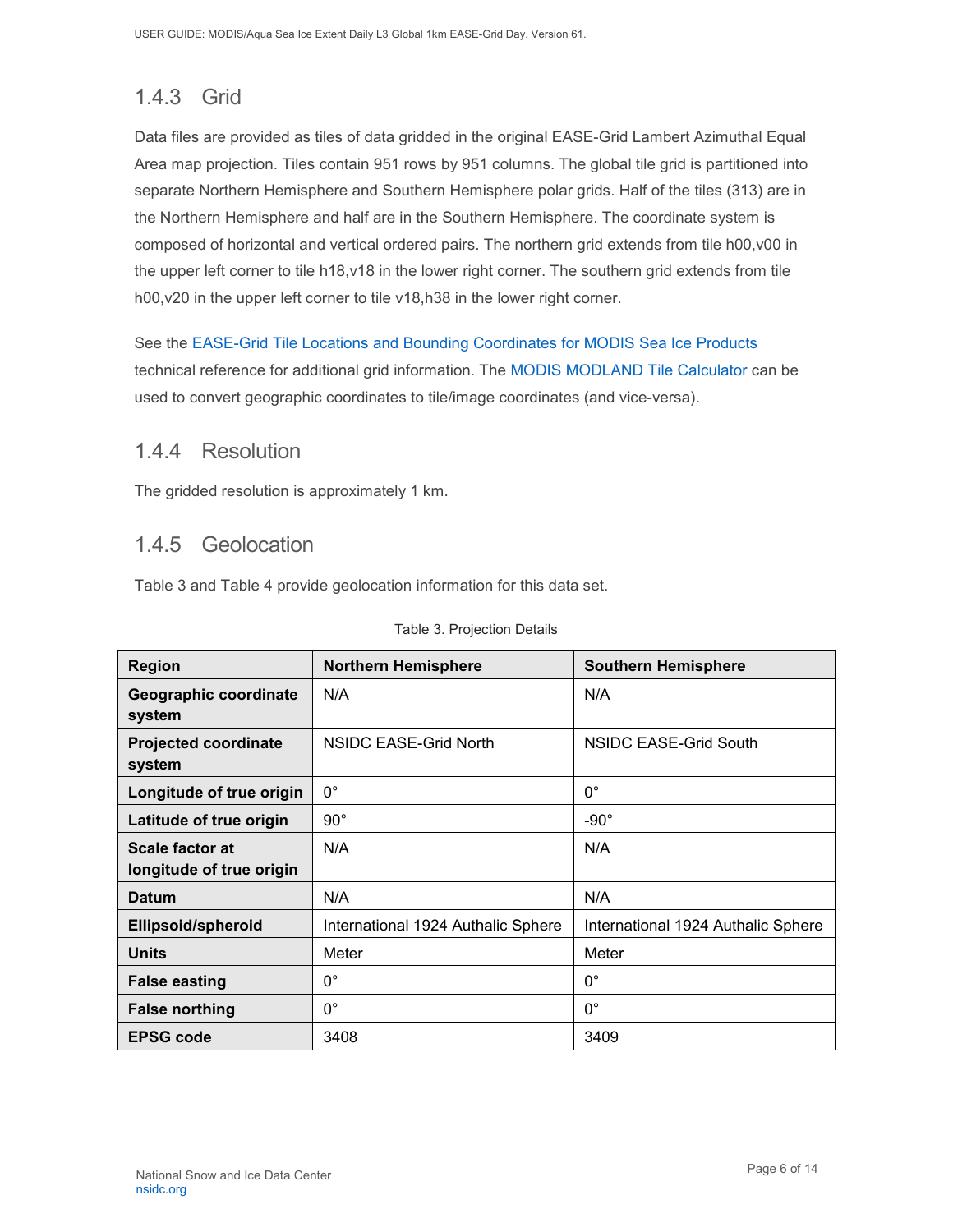## <span id="page-6-0"></span>1.4.3 Grid

Data files are provided as tiles of data gridded in the original EASE-Grid Lambert Azimuthal Equal Area map projection. Tiles contain 951 rows by 951 columns. The global tile grid is partitioned into separate Northern Hemisphere and Southern Hemisphere polar grids. Half of the tiles (313) are in the Northern Hemisphere and half are in the Southern Hemisphere. The coordinate system is composed of horizontal and vertical ordered pairs. The northern grid extends from tile h00,v00 in the upper left corner to tile h18,v18 in the lower right corner. The southern grid extends from tile h00,v20 in the upper left corner to tile v18,h38 in the lower right corner.

See the [EASE-Grid Tile Locations and Bounding Coordinates for MODIS Sea Ice Products](https://nsidc.org/sites/nsidc.org/files/technical-references/EASE-Grid-Tile-Locations-Bounding-Coordinates-MODIS-Sea-Ice.pdf) technical reference for additional grid information. The [MODIS MODLAND Tile Calculator](http://landweb.nascom.nasa.gov/cgi-bin/developer/tilemap.cgi) can be used to convert geographic coordinates to tile/image coordinates (and vice-versa).

### <span id="page-6-1"></span>1.4.4 Resolution

The gridded resolution is approximately 1 km.

### <span id="page-6-2"></span>1.4.5 Geolocation

Table 3 and Table 4 provide geolocation information for this data set.

| <b>Region</b>                               | <b>Northern Hemisphere</b>         | <b>Southern Hemisphere</b>         |
|---------------------------------------------|------------------------------------|------------------------------------|
| Geographic coordinate<br>system             | N/A                                | N/A                                |
| <b>Projected coordinate</b><br>system       | NSIDC EASE-Grid North              | NSIDC EASE-Grid South              |
| Longitude of true origin                    | $0^{\circ}$                        | $0^{\circ}$                        |
| Latitude of true origin                     | $90^{\circ}$                       | $-90^\circ$                        |
| Scale factor at<br>longitude of true origin | N/A                                | N/A                                |
| <b>Datum</b>                                | N/A                                | N/A                                |
| <b>Ellipsoid/spheroid</b>                   | International 1924 Authalic Sphere | International 1924 Authalic Sphere |
| <b>Units</b>                                | Meter                              | Meter                              |
| <b>False easting</b>                        | $0^{\circ}$                        | $0^{\circ}$                        |
| <b>False northing</b>                       | $0^{\circ}$                        | $0^{\circ}$                        |
| <b>EPSG code</b>                            | 3408                               | 3409                               |

#### Table 3. Projection Details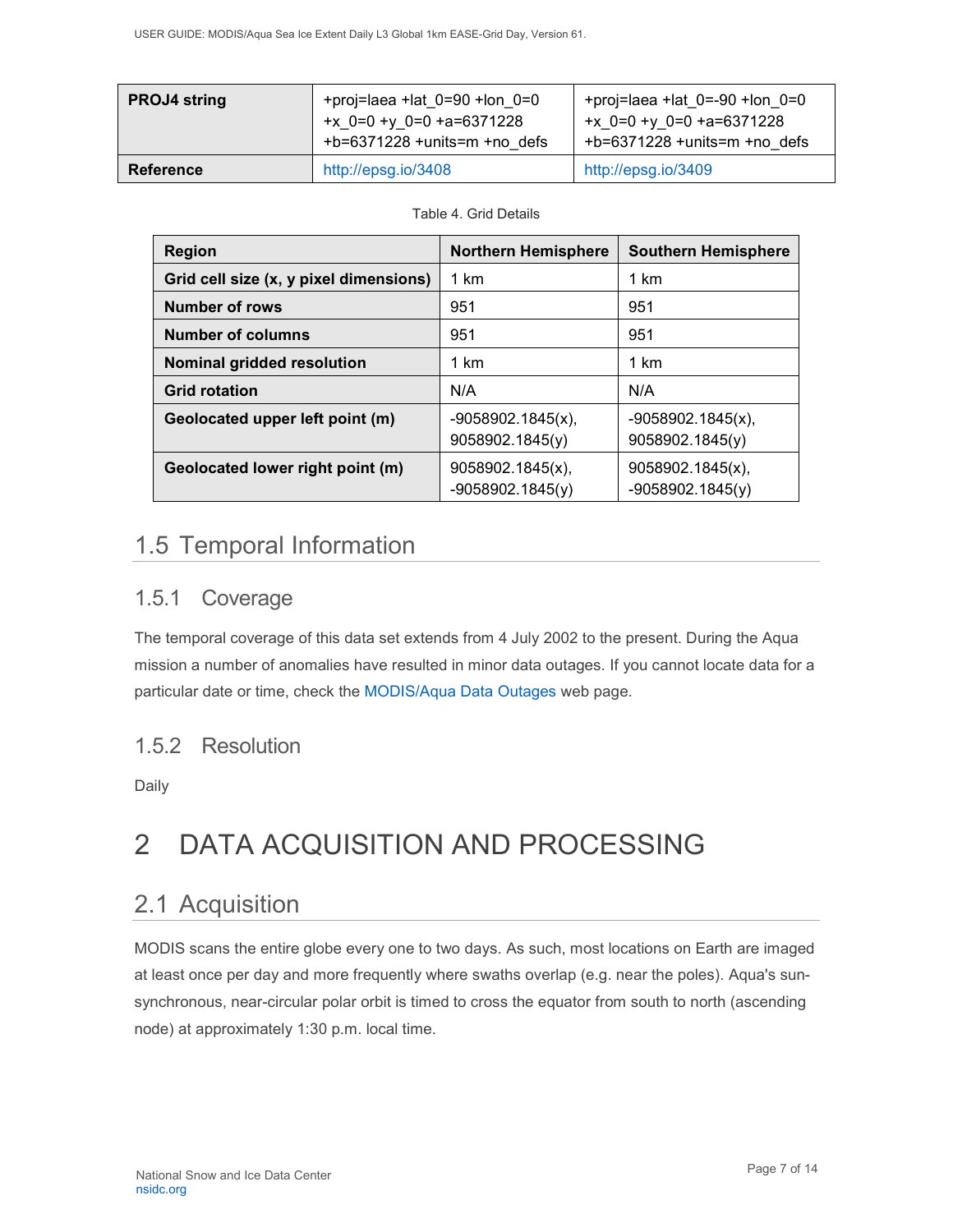| <b>PROJ4 string</b> | +proj=laea +lat $0=90$ +lon $0=0$<br>+x $0=0 +y 0=0 +a=6371228$<br>$+b=6371228 + units=m + no$ defs | +proj=laea +lat $0 = -90$ +lon $0 = 0$<br>+ $x$ 0=0 + $y$ 0=0 +a=6371228<br>$+b=6371228 + units=m + no$ defs |
|---------------------|-----------------------------------------------------------------------------------------------------|--------------------------------------------------------------------------------------------------------------|
| <b>Reference</b>    | http://epsg.io/3408                                                                                 | http://epsg.io/3409                                                                                          |

#### Table 4. Grid Details

| <b>Region</b>                          | <b>Northern Hemisphere</b>                | <b>Southern Hemisphere</b>             |
|----------------------------------------|-------------------------------------------|----------------------------------------|
| Grid cell size (x, y pixel dimensions) | 1 km                                      | 1 km                                   |
| <b>Number of rows</b>                  | 951                                       | 951                                    |
| <b>Number of columns</b>               | 951                                       | 951                                    |
| Nominal gridded resolution             | 1 km                                      | 1 km                                   |
| <b>Grid rotation</b>                   | N/A                                       | N/A                                    |
| Geolocated upper left point (m)        | $-9058902.1845(x)$ ,<br>9058902.1845(y)   | $-9058902.1845(x),$<br>9058902.1845(y) |
| Geolocated lower right point (m)       | $9058902.1845(x)$ ,<br>$-9058902.1845(y)$ | 9058902.1845(x),<br>$-9058902.1845(y)$ |

# <span id="page-7-0"></span>1.5 Temporal Information

## <span id="page-7-1"></span>1.5.1 Coverage

The temporal coverage of this data set extends from 4 July 2002 to the present. During the Aqua mission a number of anomalies have resulted in minor data outages. If you cannot locate data for a particular date or time, check the [MODIS/Aqua Data](http://modaps.nascom.nasa.gov/services/production/outages_aqua.html) Outages web page.

## <span id="page-7-2"></span>1.5.2 Resolution

Daily

# <span id="page-7-3"></span>2 DATA ACQUISITION AND PROCESSING

## <span id="page-7-4"></span>2.1 Acquisition

MODIS scans the entire globe every one to two days. As such, most locations on Earth are imaged at least once per day and more frequently where swaths overlap (e.g. near the poles). Aqua's sunsynchronous, near-circular polar orbit is timed to cross the equator from south to north (ascending node) at approximately 1:30 p.m. local time.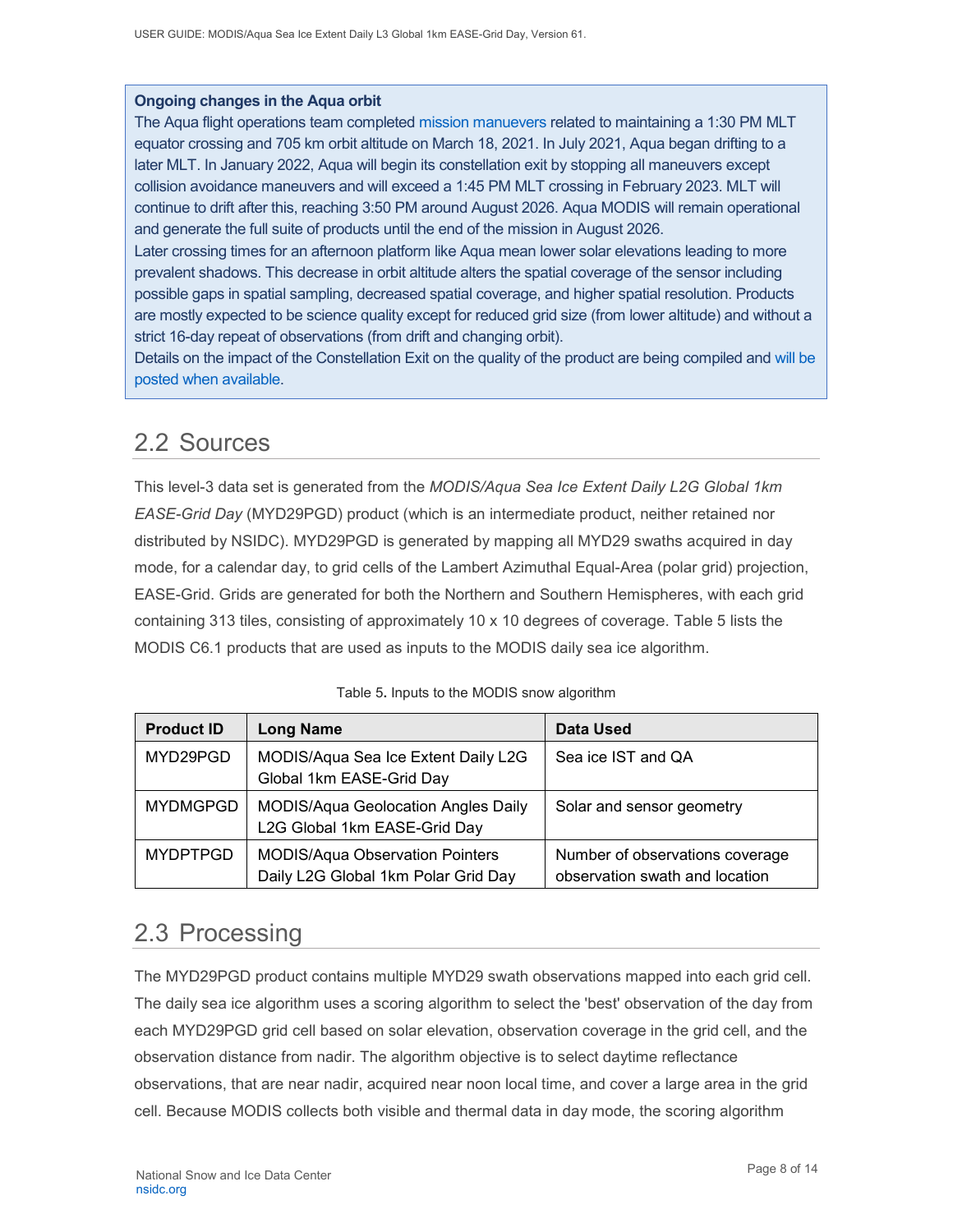#### **Ongoing changes in the Aqua orbit**

The Aqua flight operations team completed [mission manuevers](https://modis.gsfc.nasa.gov/news/individual.php?news_id=100389) related to maintaining a 1:30 PM MLT equator crossing and 705 km orbit altitude on March 18, 2021. In July 2021, Aqua began drifting to a later MLT. In January 2022, Aqua will begin its constellation exit by stopping all maneuvers except collision avoidance maneuvers and will exceed a 1:45 PM MLT crossing in February 2023. MLT will continue to drift after this, reaching 3:50 PM around August 2026. Aqua MODIS will remain operational and generate the full suite of products until the end of the mission in August 2026.

Later crossing times for an afternoon platform like Aqua mean lower solar elevations leading to more prevalent shadows. This decrease in orbit altitude alters the spatial coverage of the sensor including possible gaps in spatial sampling, decreased spatial coverage, and higher spatial resolution. Products are mostly expected to be science quality except for reduced grid size (from lower altitude) and without a strict 16-day repeat of observations (from drift and changing orbit).

Details on the impact of the Constellation Exit on the quality of the product are being compiled and will [be](https://landweb.modaps.eosdis.nasa.gov/cgi-bin/QS/new/index.cgi)  [posted when available.](https://landweb.modaps.eosdis.nasa.gov/cgi-bin/QS/new/index.cgi)

## <span id="page-8-0"></span>2.2 Sources

This level-3 data set is generated from the *MODIS/Aqua Sea Ice Extent Daily L2G Global 1km EASE-Grid Day* (MYD29PGD) product (which is an intermediate product, neither retained nor distributed by NSIDC). MYD29PGD is generated by mapping all MYD29 swaths acquired in day mode, for a calendar day, to grid cells of the Lambert Azimuthal Equal-Area (polar grid) projection, EASE-Grid. Grids are generated for both the Northern and Southern Hemispheres, with each grid containing 313 tiles, consisting of approximately 10 x 10 degrees of coverage. Table 5 lists the MODIS C6.1 products that are used as inputs to the MODIS daily sea ice algorithm.

| <b>Product ID</b>                                                           | <b>Long Name</b>                                                              | <b>Data Used</b>                                                  |
|-----------------------------------------------------------------------------|-------------------------------------------------------------------------------|-------------------------------------------------------------------|
| MYD29PGD<br>MODIS/Aqua Sea Ice Extent Daily L2G<br>Global 1km EASE-Grid Day |                                                                               | Sea ice IST and QA                                                |
| <b>MYDMGPGD</b>                                                             | <b>MODIS/Aqua Geolocation Angles Daily</b><br>L2G Global 1km EASE-Grid Day    | Solar and sensor geometry                                         |
| <b>MYDPTPGD</b>                                                             | <b>MODIS/Aqua Observation Pointers</b><br>Daily L2G Global 1km Polar Grid Day | Number of observations coverage<br>observation swath and location |

|  |  |  |  |  | Table 5. Inputs to the MODIS snow algorithm |
|--|--|--|--|--|---------------------------------------------|
|--|--|--|--|--|---------------------------------------------|

## <span id="page-8-1"></span>2.3 Processing

The MYD29PGD product contains multiple MYD29 swath observations mapped into each grid cell. The daily sea ice algorithm uses a scoring algorithm to select the 'best' observation of the day from each MYD29PGD grid cell based on solar elevation, observation coverage in the grid cell, and the observation distance from nadir. The algorithm objective is to select daytime reflectance observations, that are near nadir, acquired near noon local time, and cover a large area in the grid cell. Because MODIS collects both visible and thermal data in day mode, the scoring algorithm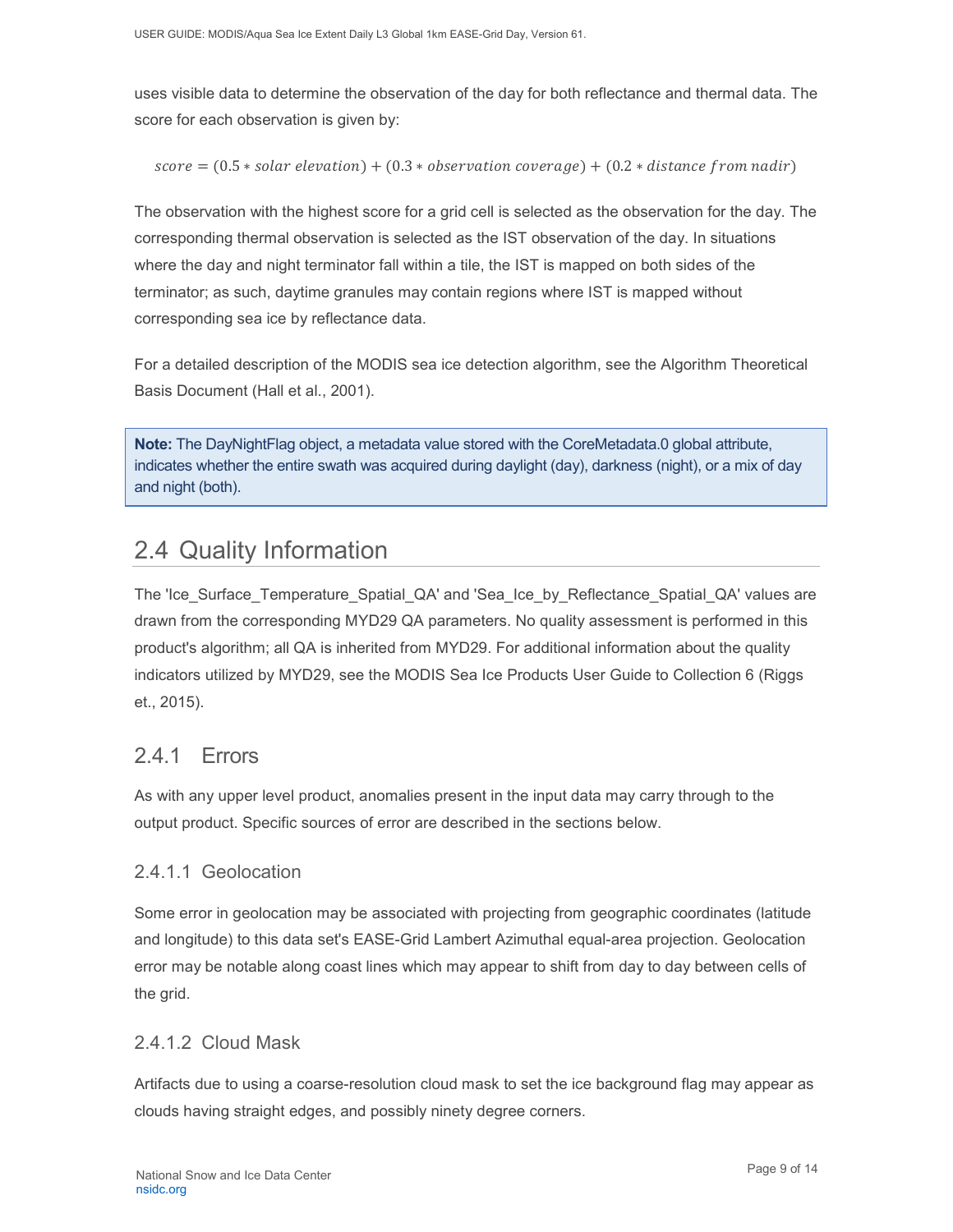uses visible data to determine the observation of the day for both reflectance and thermal data. The score for each observation is given by:

$$
score = (0.5 * solar\ elevation) + (0.3 * observation\ coverage) + (0.2 * distance\ from\ nadir)
$$

The observation with the highest score for a grid cell is selected as the observation for the day. The corresponding thermal observation is selected as the IST observation of the day. In situations where the day and night terminator fall within a tile, the IST is mapped on both sides of the terminator; as such, daytime granules may contain regions where IST is mapped without corresponding sea ice by reflectance data.

For a detailed description of the MODIS sea ice detection algorithm, see the Algorithm Theoretical Basis Document (Hall et al., 2001).

**Note:** The DayNightFlag object, a metadata value stored with the CoreMetadata.0 global attribute, indicates whether the entire swath was acquired during daylight (day), darkness (night), or a mix of day and night (both).

## <span id="page-9-0"></span>2.4 Quality Information

The 'Ice\_Surface\_Temperature\_Spatial\_QA' and 'Sea\_Ice\_by\_Reflectance\_Spatial\_QA' values are drawn from the corresponding MYD29 QA parameters. No quality assessment is performed in this product's algorithm; all QA is inherited from MYD29. For additional information about the quality indicators utilized by MYD29, see the MODIS Sea Ice Products User Guide to Collection 6 (Riggs et., 2015).

## <span id="page-9-1"></span>241 Frrors

As with any upper level product, anomalies present in the input data may carry through to the output product. Specific sources of error are described in the sections below.

### 2.4.1.1 Geolocation

Some error in geolocation may be associated with projecting from geographic coordinates (latitude and longitude) to this data set's EASE-Grid Lambert Azimuthal equal-area projection. Geolocation error may be notable along coast lines which may appear to shift from day to day between cells of the grid.

### 2.4.1.2 Cloud Mask

Artifacts due to using a coarse-resolution cloud mask to set the ice background flag may appear as clouds having straight edges, and possibly ninety degree corners.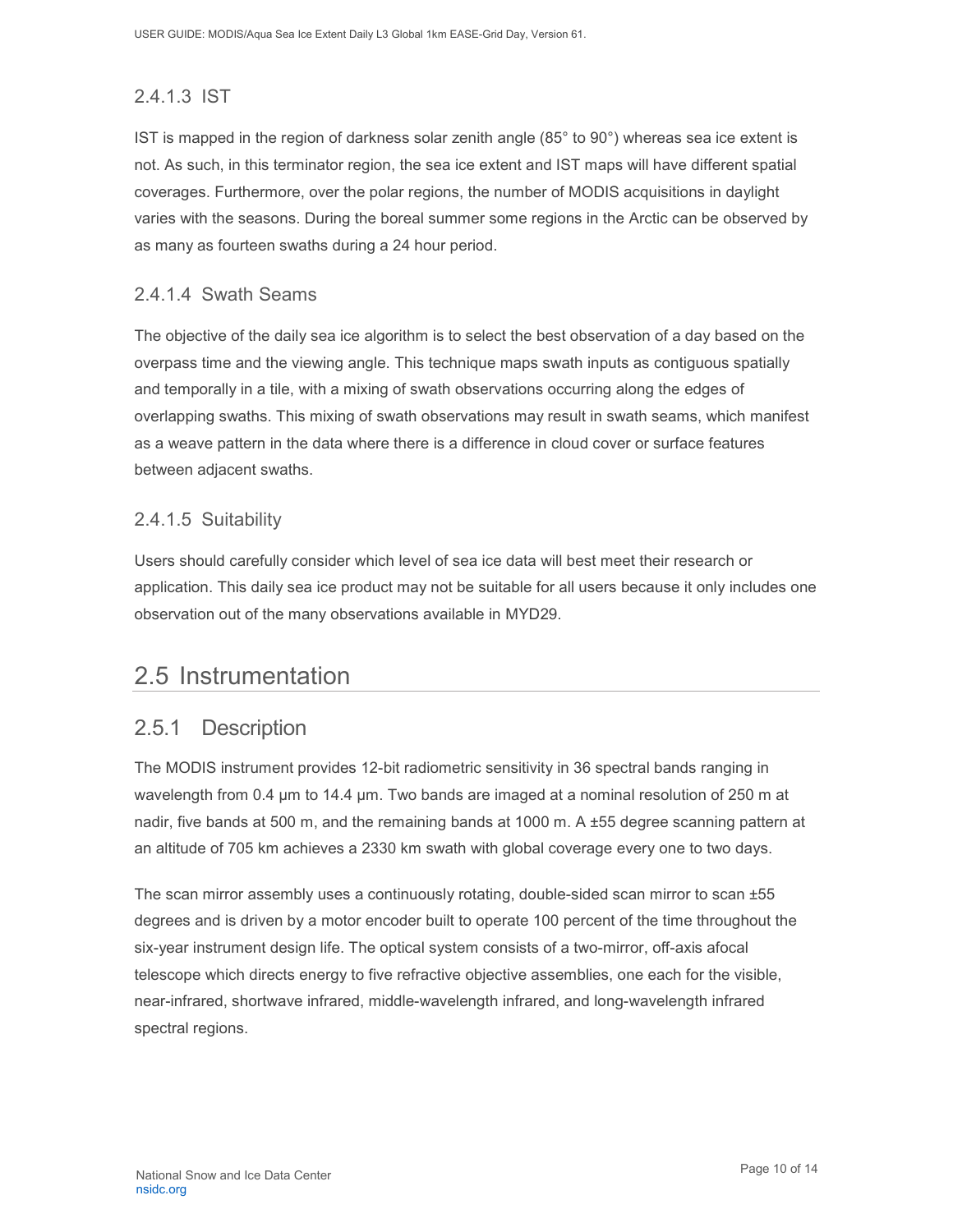### 2.4.1.3 IST

IST is mapped in the region of darkness solar zenith angle (85° to 90°) whereas sea ice extent is not. As such, in this terminator region, the sea ice extent and IST maps will have different spatial coverages. Furthermore, over the polar regions, the number of MODIS acquisitions in daylight varies with the seasons. During the boreal summer some regions in the Arctic can be observed by as many as fourteen swaths during a 24 hour period.

#### 2.4.1.4 Swath Seams

The objective of the daily sea ice algorithm is to select the best observation of a day based on the overpass time and the viewing angle. This technique maps swath inputs as contiguous spatially and temporally in a tile, with a mixing of swath observations occurring along the edges of overlapping swaths. This mixing of swath observations may result in swath seams, which manifest as a weave pattern in the data where there is a difference in cloud cover or surface features between adjacent swaths.

#### 2.4.1.5 Suitability

Users should carefully consider which level of sea ice data will best meet their research or application. This daily sea ice product may not be suitable for all users because it only includes one observation out of the many observations available in MYD29.

## <span id="page-10-0"></span>2.5 Instrumentation

## <span id="page-10-1"></span>2.5.1 Description

The MODIS instrument provides 12-bit radiometric sensitivity in 36 spectral bands ranging in wavelength from 0.4 µm to 14.4 µm. Two bands are imaged at a nominal resolution of 250 m at nadir, five bands at 500 m, and the remaining bands at 1000 m. A ±55 degree scanning pattern at an altitude of 705 km achieves a 2330 km swath with global coverage every one to two days.

The scan mirror assembly uses a continuously rotating, double-sided scan mirror to scan ±55 degrees and is driven by a motor encoder built to operate 100 percent of the time throughout the six-year instrument design life. The optical system consists of a two-mirror, off-axis afocal telescope which directs energy to five refractive objective assemblies, one each for the visible, near-infrared, shortwave infrared, middle-wavelength infrared, and long-wavelength infrared spectral regions.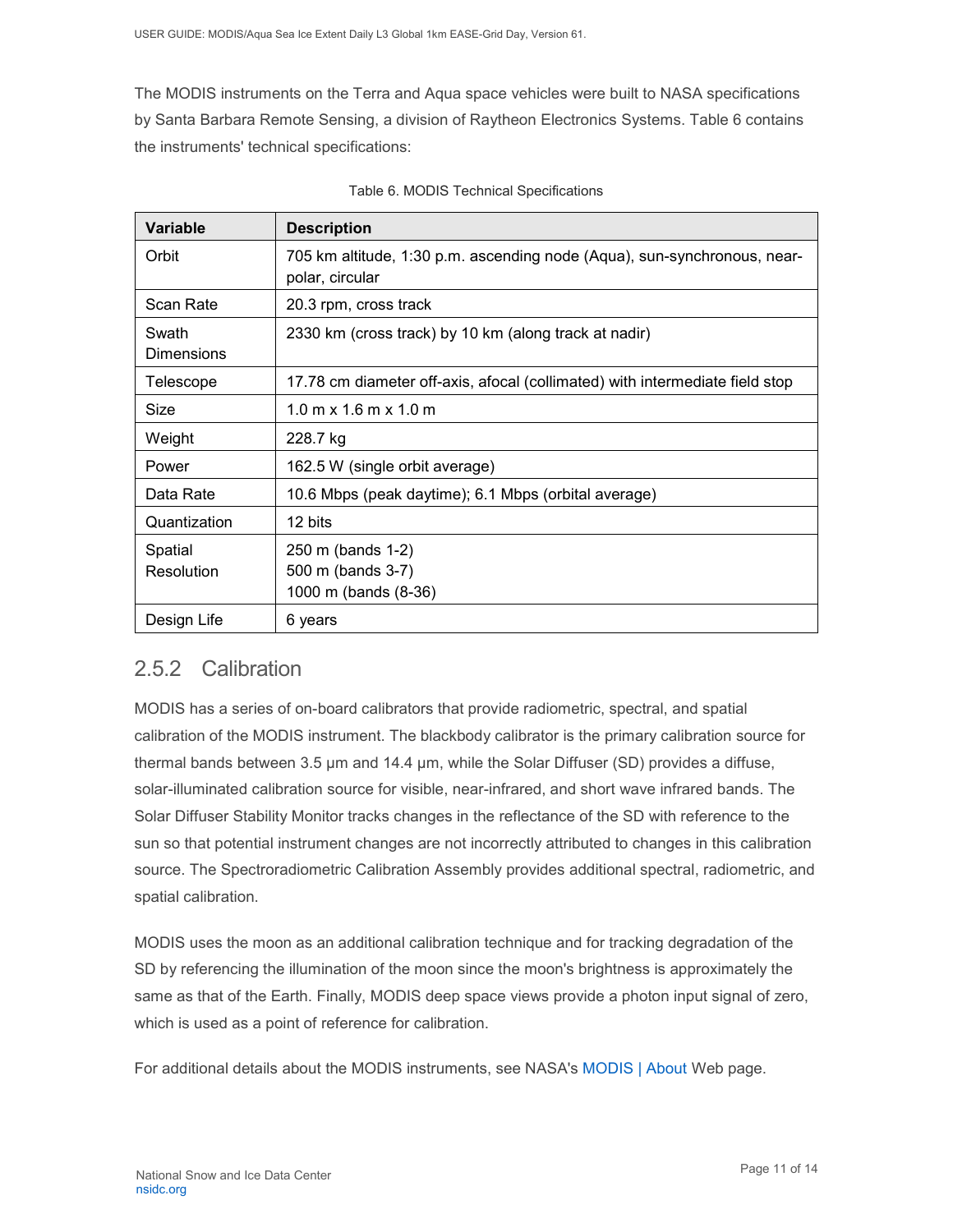The MODIS instruments on the Terra and Aqua space vehicles were built to NASA specifications by Santa Barbara Remote Sensing, a division of Raytheon Electronics Systems. Table 6 contains the instruments' technical specifications:

| <b>Variable</b>            | <b>Description</b>                                                                          |  |  |
|----------------------------|---------------------------------------------------------------------------------------------|--|--|
| Orbit                      | 705 km altitude, 1:30 p.m. ascending node (Aqua), sun-synchronous, near-<br>polar, circular |  |  |
| Scan Rate                  | 20.3 rpm, cross track                                                                       |  |  |
| Swath<br><b>Dimensions</b> | 2330 km (cross track) by 10 km (along track at nadir)                                       |  |  |
| Telescope                  | 17.78 cm diameter off-axis, afocal (collimated) with intermediate field stop                |  |  |
| Size                       | $1.0 \text{ m} \times 1.6 \text{ m} \times 1.0 \text{ m}$                                   |  |  |
| Weight                     | 228.7 kg                                                                                    |  |  |
| Power                      | 162.5 W (single orbit average)                                                              |  |  |
| Data Rate                  | 10.6 Mbps (peak daytime); 6.1 Mbps (orbital average)                                        |  |  |
| Quantization               | 12 bits                                                                                     |  |  |
| Spatial<br>Resolution      | 250 m (bands 1-2)<br>500 m (bands 3-7)<br>1000 m (bands (8-36)                              |  |  |
| Design Life                | 6 years                                                                                     |  |  |

| Table 6. MODIS Technical Specifications |  |  |  |  |
|-----------------------------------------|--|--|--|--|
|-----------------------------------------|--|--|--|--|

### <span id="page-11-0"></span>2.5.2 Calibration

MODIS has a series of on-board calibrators that provide radiometric, spectral, and spatial calibration of the MODIS instrument. The blackbody calibrator is the primary calibration source for thermal bands between 3.5 µm and 14.4 µm, while the Solar Diffuser (SD) provides a diffuse, solar-illuminated calibration source for visible, near-infrared, and short wave infrared bands. The Solar Diffuser Stability Monitor tracks changes in the reflectance of the SD with reference to the sun so that potential instrument changes are not incorrectly attributed to changes in this calibration source. The Spectroradiometric Calibration Assembly provides additional spectral, radiometric, and spatial calibration.

MODIS uses the moon as an additional calibration technique and for tracking degradation of the SD by referencing the illumination of the moon since the moon's brightness is approximately the same as that of the Earth. Finally, MODIS deep space views provide a photon input signal of zero, which is used as a point of reference for calibration.

For additional details about the MODIS instruments, see NASA's [MODIS | About](http://modis.gsfc.nasa.gov/about/) Web page.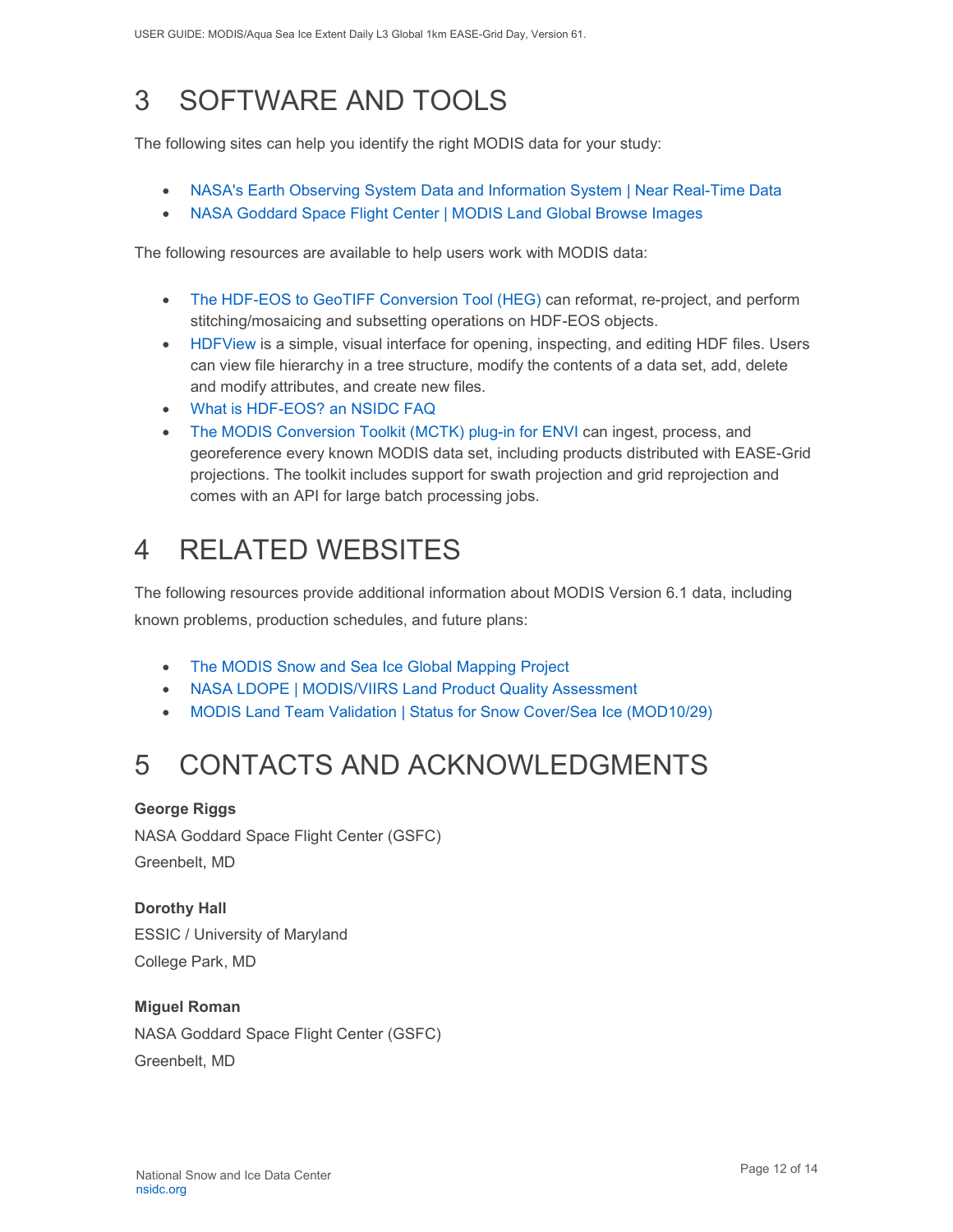# <span id="page-12-0"></span>3 SOFTWARE AND TOOLS

The following sites can help you identify the right MODIS data for your study:

- [NASA's Earth Observing System Data and Information System | Near Real-Time Data](http://earthdata.nasa.gov/data/near-real-time-data/rapid-response)
- NASA [Goddard Space Flight Center | MODIS Land Global Browse Images](https://landweb.modaps.eosdis.nasa.gov/cgi-bin/browse/browseMODIS.cgi)

The following resources are available to help users work with MODIS data:

- [The HDF-EOS to GeoTIFF Conversion Tool \(HEG\)](https://wiki.earthdata.nasa.gov/display/DAS/HEG%3A++HDF-EOS+to+GeoTIFF+Conversion+Tool) can reformat, re-project, and perform stitching/mosaicing and subsetting operations on HDF-EOS objects.
- [HDFView](https://www.hdfgroup.org/downloads/hdfview/) is a simple, visual interface for opening, inspecting, and editing HDF files. Users can view file hierarchy in a tree structure, modify the contents of a data set, add, delete and modify attributes, and create new files.
- [What is HDF-EOS? an NSIDC FAQ](https://nsidc.org/support/faq/what-hdf-eos)
- [The MODIS Conversion Toolkit \(MCTK\) plug-in for ENVI](https://github.com/dawhite/MCTK) can ingest, process, and georeference every known MODIS data set, including products distributed with EASE-Grid projections. The toolkit includes support for swath projection and grid reprojection and comes with an API for large batch processing jobs.

# <span id="page-12-1"></span>4 RELATED WEBSITES

The following resources provide additional information about MODIS Version 6.1 data, including known problems, production schedules, and future plans:

- [The MODIS Snow and Sea Ice Global Mapping Project](http://modis-snow-ice.gsfc.nasa.gov/)
- [NASA LDOPE | MODIS/VIIRS Land Product Quality Assessment](https://landweb.modaps.eosdis.nasa.gov/cgi-bin/QS/new/index.cgi)
- [MODIS Land Team Validation | Status for Snow Cover/Sea Ice \(MOD10/29\)](https://modis-land.gsfc.nasa.gov/ValStatus.php?ProductID=MOD10/29)

# <span id="page-12-2"></span>5 CONTACTS AND ACKNOWLEDGMENTS

#### **George Riggs**

NASA Goddard Space Flight Center (GSFC) Greenbelt, MD

**Dorothy Hall**  ESSIC / University of Maryland College Park, MD

#### **Miguel Roman**

NASA Goddard Space Flight Center (GSFC) Greenbelt, MD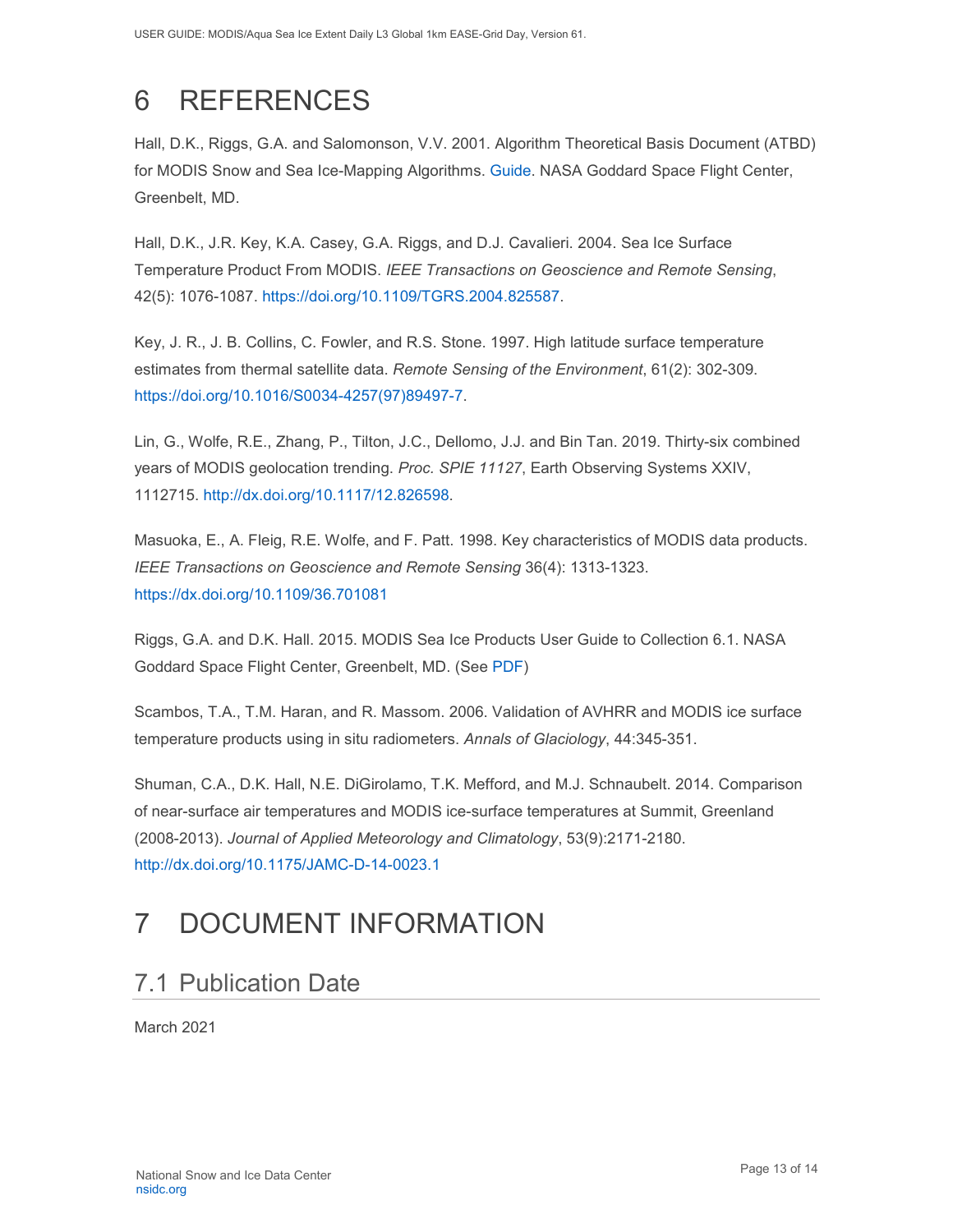# <span id="page-13-0"></span>6 REFERENCES

Hall, D.K., Riggs, G.A. and Salomonson, V.V. 2001. Algorithm Theoretical Basis Document (ATBD) for MODIS Snow and Sea Ice-Mapping Algorithms. [Guide.](https://modis-snow-ice.gsfc.nasa.gov/?c=atbd) NASA Goddard Space Flight Center, Greenbelt, MD.

Hall, D.K., J.R. Key, K.A. Casey, G.A. Riggs, and D.J. Cavalieri. 2004. Sea Ice Surface Temperature Product From MODIS. *IEEE Transactions on Geoscience and Remote Sensing*, 42(5): 1076-1087. [https://doi.org/10.1109/TGRS.2004.825587.](https://doi.org/10.1109/TGRS.2004.825587)

Key, J. R., J. B. Collins, C. Fowler, and R.S. Stone. 1997. High latitude surface temperature estimates from thermal satellite data. *Remote Sensing of the Environment*, 61(2): 302-309. [https://doi.org/10.1016/S0034-4257\(97\)89497-7.](https://doi.org/10.1016/S0034-4257(97)89497-7)

Lin, G., Wolfe, R.E., Zhang, P., Tilton, J.C., Dellomo, J.J. and Bin Tan. 2019. Thirty-six combined years of MODIS geolocation trending. *Proc. SPIE 11127*, Earth Observing Systems XXIV, 1112715. [http://dx.doi.org/10.1117/12.826598.](http://dx.doi.org/10.1117/12.826598)

Masuoka, E., A. Fleig, R.E. Wolfe, and F. Patt. 1998. Key characteristics of MODIS data products. *IEEE Transactions on Geoscience and Remote Sensing* 36(4): 1313-1323. <https://dx.doi.org/10.1109/36.701081>

Riggs, G.A. and D.K. Hall. 2015. MODIS Sea Ice Products User Guide to Collection 6.1. NASA Goddard Space Flight Center, Greenbelt, MD. (See [PDF\)](https://nsidc.org/sites/nsidc.org/files/technical-references/MOD29_C61_UserGuide.pdf)

Scambos, T.A., T.M. Haran, and R. Massom. 2006. Validation of AVHRR and MODIS ice surface temperature products using in situ radiometers. *Annals of Glaciology*, 44:345-351.

Shuman, C.A., D.K. Hall, N.E. DiGirolamo, T.K. Mefford, and M.J. Schnaubelt. 2014. Comparison of near-surface air temperatures and MODIS ice-surface temperatures at Summit, Greenland (2008-2013). *Journal of Applied Meteorology and Climatology*, 53(9):2171-2180. <http://dx.doi.org/10.1175/JAMC-D-14-0023.1>

# <span id="page-13-1"></span>7 DOCUMENT INFORMATION

## <span id="page-13-2"></span>7.1 Publication Date

March 2021